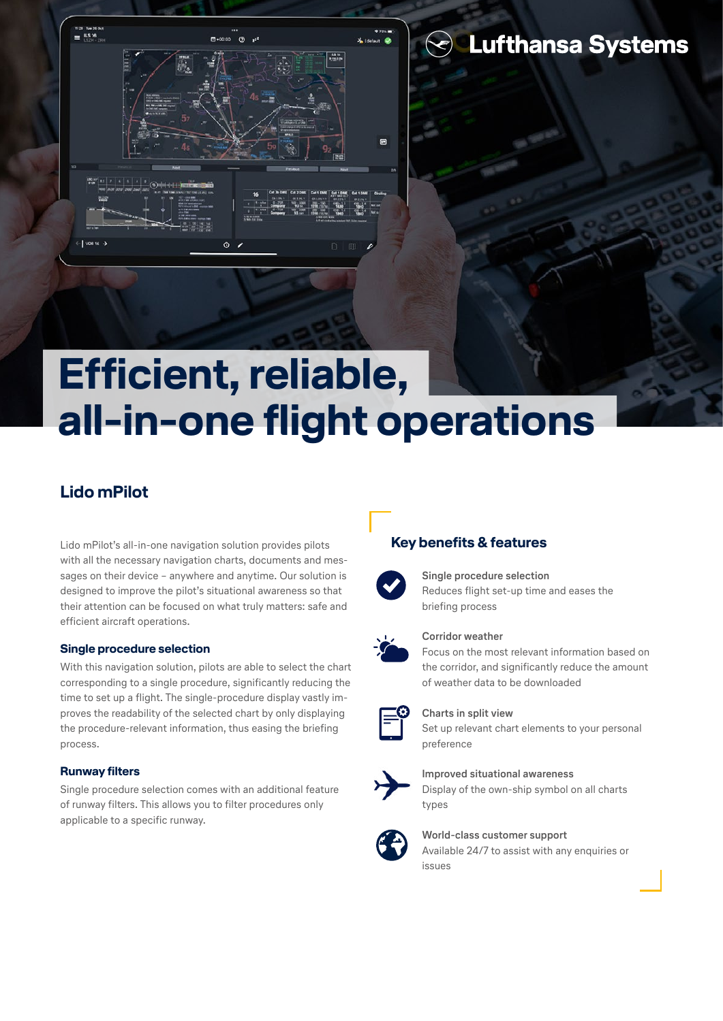

## **S** Lufthansa Systems

# **Efficient, reliable, all-in-one flight operations**

## **Lido mPilot**

Lido mPilot's all-in-one navigation solution provides pilots with all the necessary navigation charts, documents and messages on their device – anywhere and anytime. Our solution is designed to improve the pilot's situational awareness so that their attention can be focused on what truly matters: safe and efficient aircraft operations.

#### **Single procedure selection**

With this navigation solution, pilots are able to select the chart corresponding to a single procedure, significantly reducing the time to set up a flight. The single-procedure display vastly improves the readability of the selected chart by only displaying the procedure-relevant information, thus easing the briefing process.

#### **Runway filters**

Single procedure selection comes with an additional feature of runway filters. This allows you to filter procedures only applicable to a specific runway.

## **Key benefits & features**



**Single procedure selection** Reduces flight set-up time and eases the briefing process



#### **Corridor weather**

Focus on the most relevant information based on the corridor, and significantly reduce the amount of weather data to be downloaded



## **Charts in split view**

Set up relevant chart elements to your personal preference



**Improved situational awareness** Display of the own-ship symbol on all charts types



#### **World-class customer support** Available 24/7 to assist with any enquiries or issues